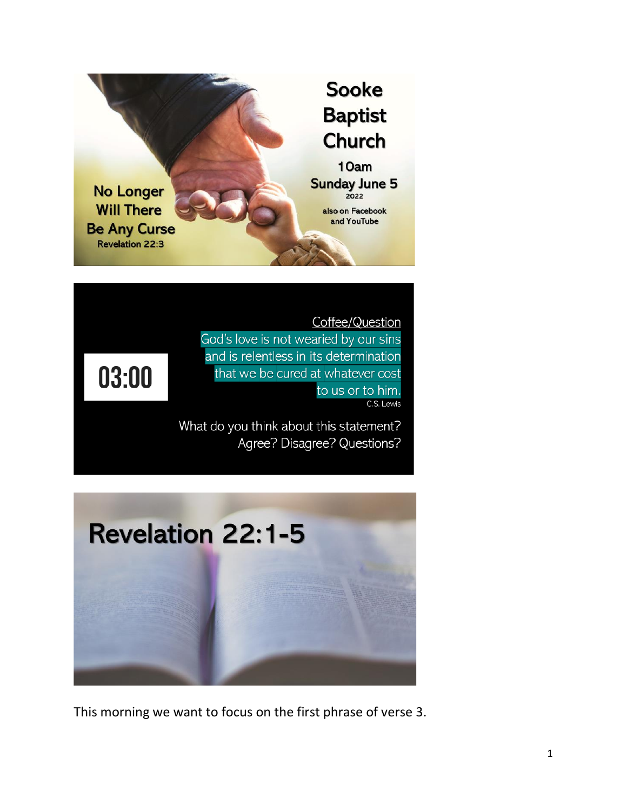

03:00

## Coffee/Question

God's love is not wearied by our sins and is relentless in its determination that we be cured at whatever cost to us or to him. C.S. Lewis

What do you think about this statement? Agree? Disagree? Questions?



This morning we want to focus on the first phrase of verse 3.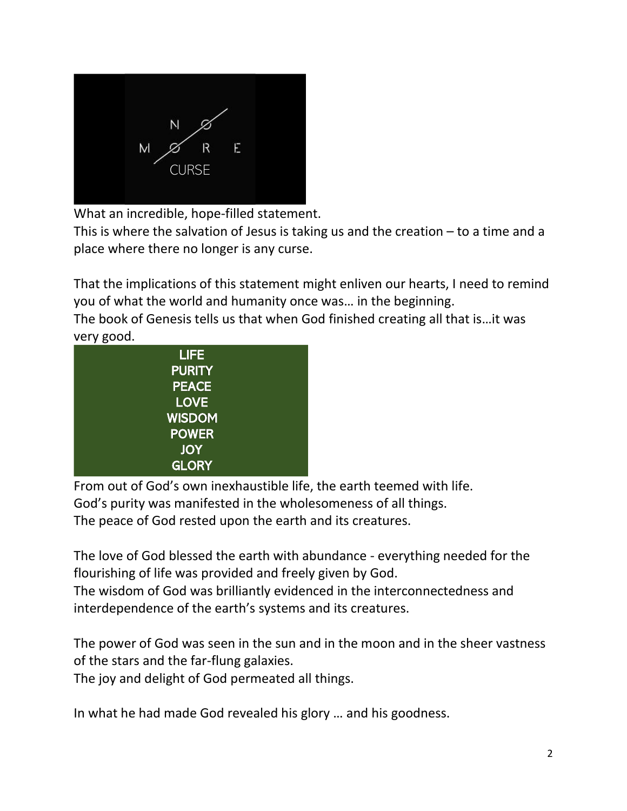

What an incredible, hope-filled statement.

This is where the salvation of Jesus is taking us and the creation  $-$  to a time and a place where there no longer is any curse.

That the implications of this statement might enliven our hearts, I need to remind you of what the world and humanity once was… in the beginning.

The book of Genesis tells us that when God finished creating all that is…it was very good.

| <b>LIFE</b>   |
|---------------|
| <b>PURITY</b> |
| <b>PEACE</b>  |
| <b>LOVE</b>   |
| <b>WISDOM</b> |
| <b>POWER</b>  |
| <b>JOY</b>    |
| <b>GLORY</b>  |

From out of God's own inexhaustible life, the earth teemed with life. God's purity was manifested in the wholesomeness of all things. The peace of God rested upon the earth and its creatures.

The love of God blessed the earth with abundance - everything needed for the flourishing of life was provided and freely given by God. The wisdom of God was brilliantly evidenced in the interconnectedness and interdependence of the earth's systems and its creatures.

The power of God was seen in the sun and in the moon and in the sheer vastness of the stars and the far-flung galaxies.

The joy and delight of God permeated all things.

In what he had made God revealed his glory … and his goodness.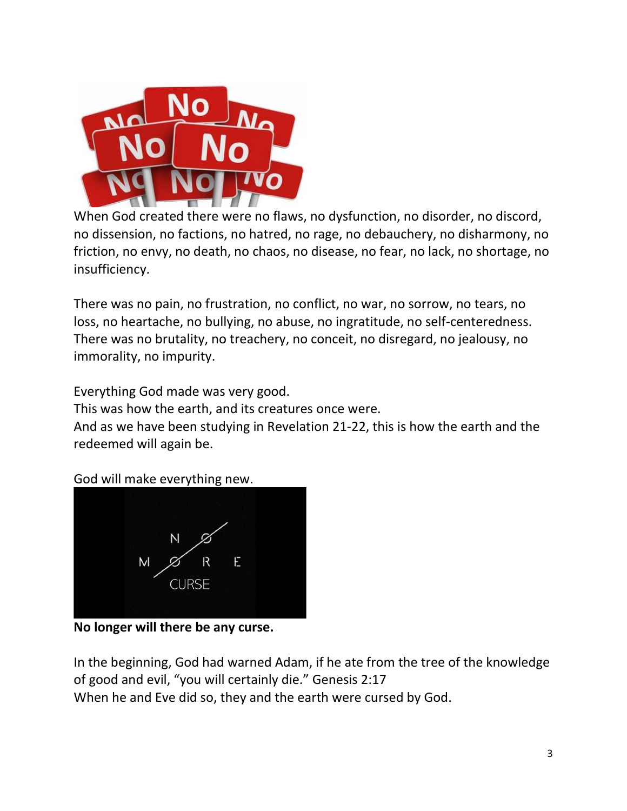

When God created there were no flaws, no dysfunction, no disorder, no discord, no dissension, no factions, no hatred, no rage, no debauchery, no disharmony, no friction, no envy, no death, no chaos, no disease, no fear, no lack, no shortage, no insufficiency.

There was no pain, no frustration, no conflict, no war, no sorrow, no tears, no loss, no heartache, no bullying, no abuse, no ingratitude, no self-centeredness. There was no brutality, no treachery, no conceit, no disregard, no jealousy, no immorality, no impurity.

Everything God made was very good.

This was how the earth, and its creatures once were.

And as we have been studying in Revelation 21-22, this is how the earth and the redeemed will again be.

God will make everything new.



**No longer will there be any curse.**

In the beginning, God had warned Adam, if he ate from the tree of the knowledge of good and evil, "you will certainly die." Genesis 2:17 When he and Eve did so, they and the earth were cursed by God.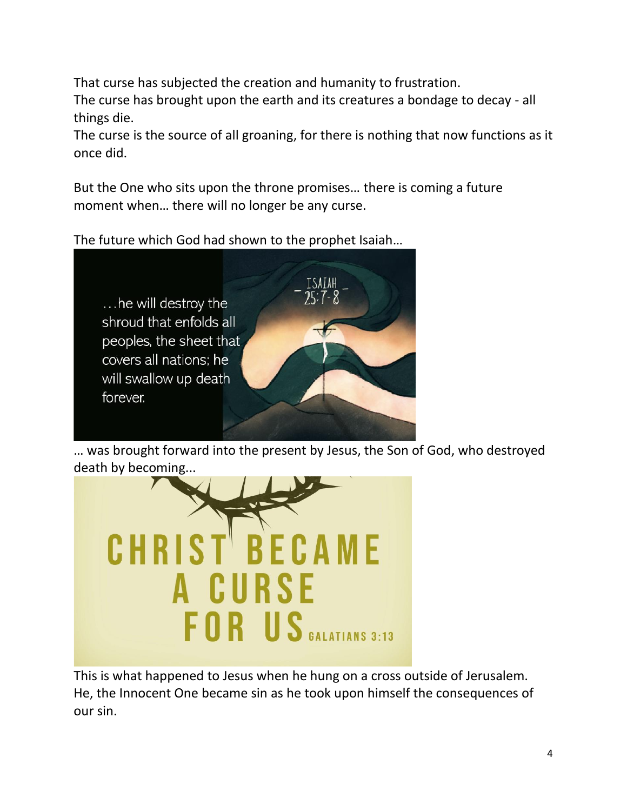That curse has subjected the creation and humanity to frustration. The curse has brought upon the earth and its creatures a bondage to decay - all things die.

The curse is the source of all groaning, for there is nothing that now functions as it once did.

But the One who sits upon the throne promises… there is coming a future moment when… there will no longer be any curse.

The future which God had shown to the prophet Isaiah…



… was brought forward into the present by Jesus, the Son of God, who destroyed death by becoming...



This is what happened to Jesus when he hung on a cross outside of Jerusalem. He, the Innocent One became sin as he took upon himself the consequences of our sin.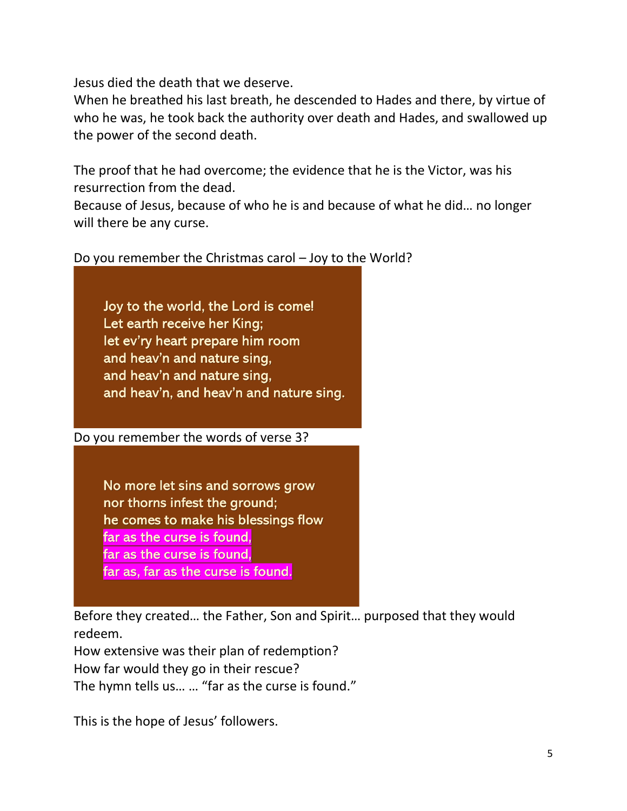Jesus died the death that we deserve.

When he breathed his last breath, he descended to Hades and there, by virtue of who he was, he took back the authority over death and Hades, and swallowed up the power of the second death.

The proof that he had overcome; the evidence that he is the Victor, was his resurrection from the dead.

Because of Jesus, because of who he is and because of what he did… no longer will there be any curse.

Do you remember the Christmas carol – Joy to the World?

Joy to the world, the Lord is come! Let earth receive her King: let ev'ry heart prepare him room and heav'n and nature sing, and heav'n and nature sing, and heav'n, and heav'n and nature sing.

Do you remember the words of verse 3?

No more let sins and sorrows grow nor thorns infest the ground; he comes to make his blessings flow far as the curse is found. far as the curse is found. far as, far as the curse is found.

Before they created… the Father, Son and Spirit… purposed that they would redeem.

How extensive was their plan of redemption? How far would they go in their rescue? The hymn tells us… … "far as the curse is found."

This is the hope of Jesus' followers.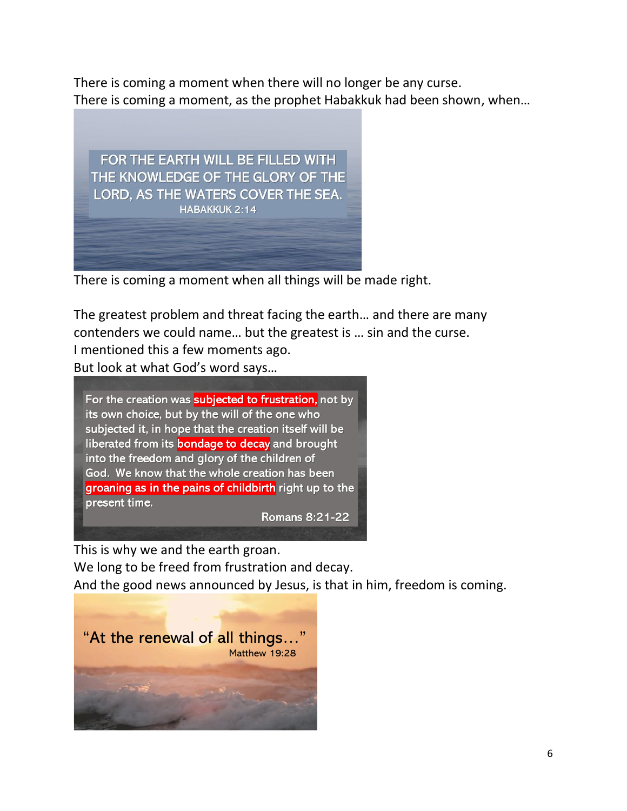There is coming a moment when there will no longer be any curse. There is coming a moment, as the prophet Habakkuk had been shown, when…

FOR THE EARTH WILL BE FILLED WITH THE KNOWLEDGE OF THE GLORY OF THE LORD, AS THE WATERS COVER THE SEA. HABAKKUK 2:14

There is coming a moment when all things will be made right.

The greatest problem and threat facing the earth… and there are many contenders we could name… but the greatest is … sin and the curse. I mentioned this a few moments ago. But look at what God's word says…



This is why we and the earth groan.

We long to be freed from frustration and decay.

And the good news announced by Jesus, is that in him, freedom is coming.

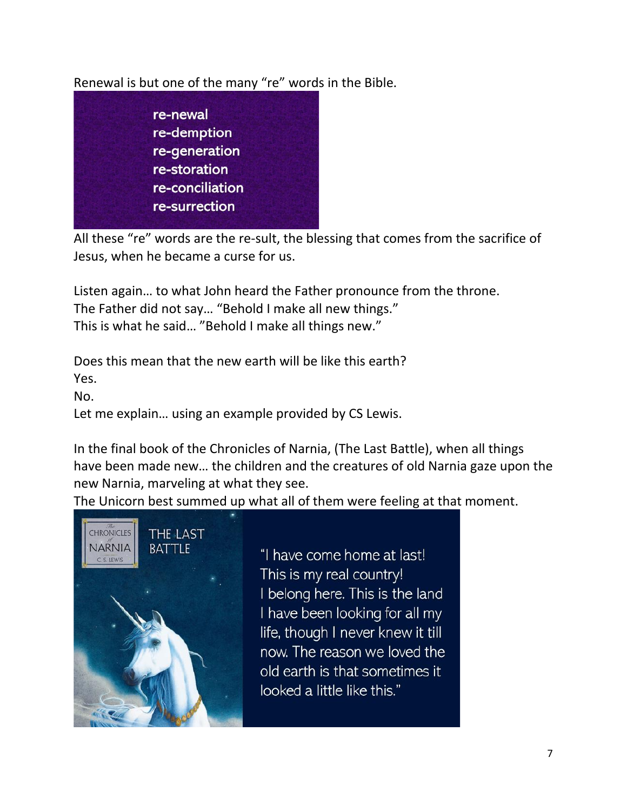Renewal is but one of the many "re" words in the Bible.



All these "re" words are the re-sult, the blessing that comes from the sacrifice of Jesus, when he became a curse for us.

Listen again… to what John heard the Father pronounce from the throne. The Father did not say… "Behold I make all new things." This is what he said… "Behold I make all things new."

Does this mean that the new earth will be like this earth?

Yes.

No.

Let me explain… using an example provided by CS Lewis.

In the final book of the Chronicles of Narnia, (The Last Battle), when all things have been made new… the children and the creatures of old Narnia gaze upon the new Narnia, marveling at what they see.

The Unicorn best summed up what all of them were feeling at that moment.



"I have come home at last! This is my real country! I belong here. This is the land I have been looking for all my life, though I never knew it till now. The reason we loved the old earth is that sometimes it looked a little like this."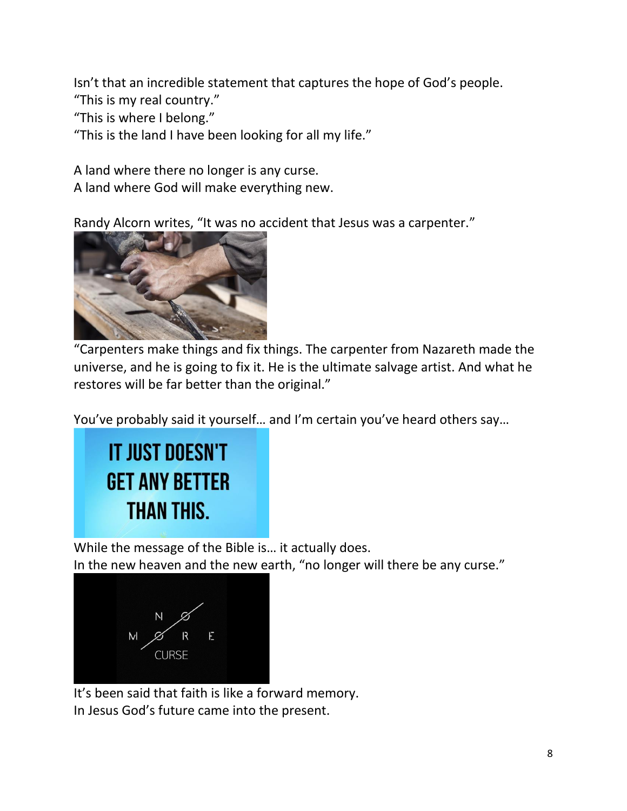Isn't that an incredible statement that captures the hope of God's people.

"This is my real country."

"This is where I belong."

"This is the land I have been looking for all my life."

A land where there no longer is any curse. A land where God will make everything new.

Randy Alcorn writes, "It was no accident that Jesus was a carpenter."



"Carpenters make things and fix things. The carpenter from Nazareth made the universe, and he is going to fix it. He is the ultimate salvage artist. And what he restores will be far better than the original."

You've probably said it yourself… and I'm certain you've heard others say…



While the message of the Bible is… it actually does. In the new heaven and the new earth, "no longer will there be any curse."



It's been said that faith is like a forward memory. In Jesus God's future came into the present.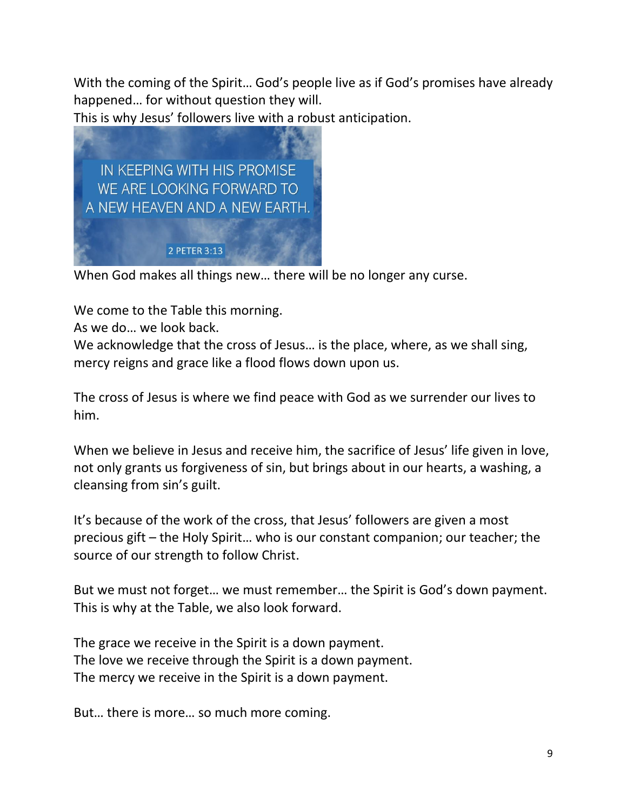With the coming of the Spirit… God's people live as if God's promises have already happened… for without question they will.

This is why Jesus' followers live with a robust anticipation.



When God makes all things new… there will be no longer any curse.

We come to the Table this morning.

As we do… we look back.

We acknowledge that the cross of Jesus... is the place, where, as we shall sing, mercy reigns and grace like a flood flows down upon us.

The cross of Jesus is where we find peace with God as we surrender our lives to him.

When we believe in Jesus and receive him, the sacrifice of Jesus' life given in love, not only grants us forgiveness of sin, but brings about in our hearts, a washing, a cleansing from sin's guilt.

It's because of the work of the cross, that Jesus' followers are given a most precious gift – the Holy Spirit… who is our constant companion; our teacher; the source of our strength to follow Christ.

But we must not forget… we must remember… the Spirit is God's down payment. This is why at the Table, we also look forward.

The grace we receive in the Spirit is a down payment. The love we receive through the Spirit is a down payment. The mercy we receive in the Spirit is a down payment.

But… there is more… so much more coming.